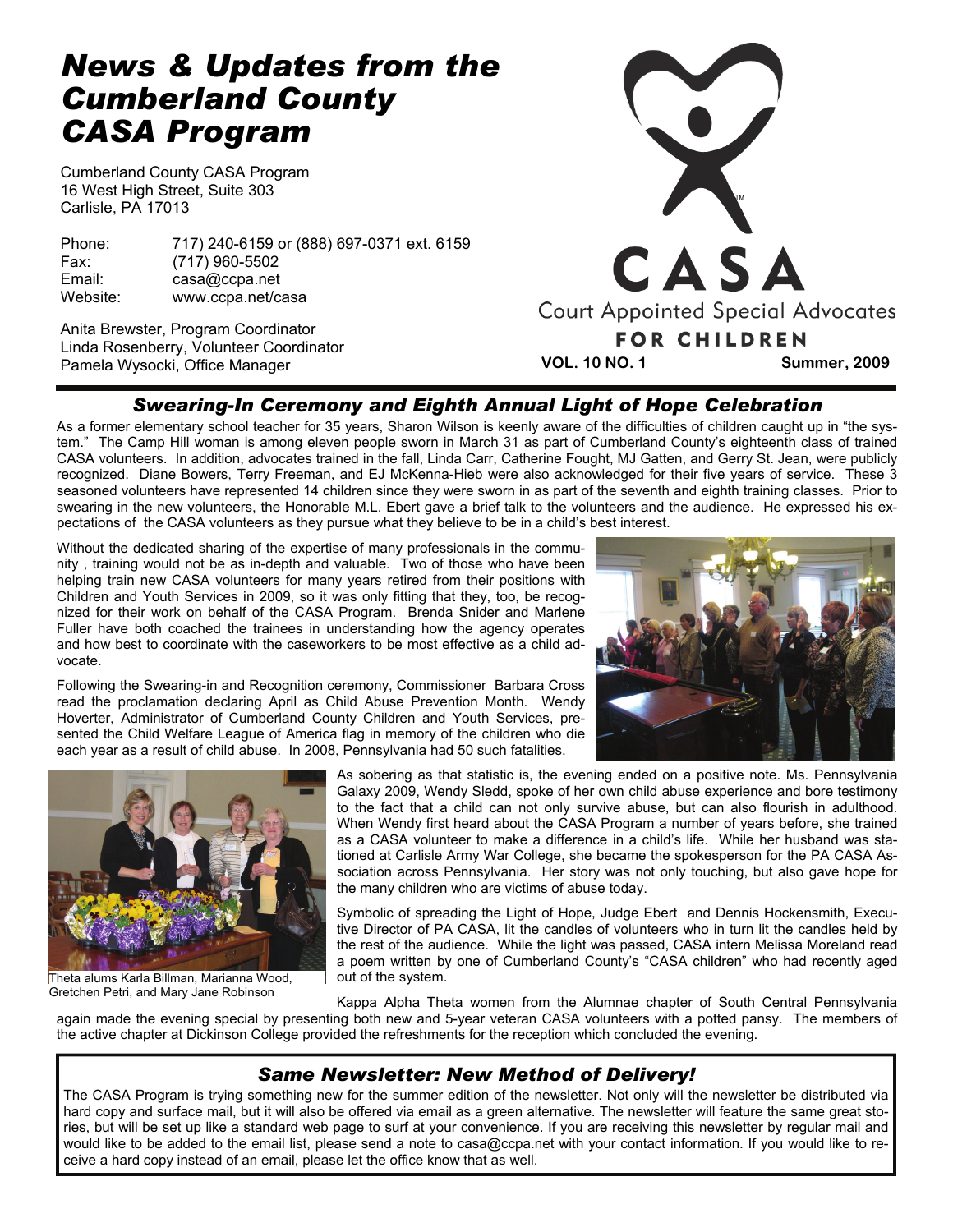# *News & Updates from the Cumberland County CASA Program*

Cumberland County CASA Program 16 West High Street, Suite 303 Carlisle, PA 17013

Phone: 717) 240-6159 or (888) 697-0371 ext. 6159 Fax: (717) 960-5502 Email: casa@ccpa.net Website: www.ccpa.net/casa

Anita Brewster, Program Coordinator Linda Rosenberry, Volunteer Coordinator Pamela Wysocki, Office Manager



## *Swearing-In Ceremony and Eighth Annual Light of Hope Celebration*

As a former elementary school teacher for 35 years, Sharon Wilson is keenly aware of the difficulties of children caught up in "the system." The Camp Hill woman is among eleven people sworn in March 31 as part of Cumberland County's eighteenth class of trained CASA volunteers. In addition, advocates trained in the fall, Linda Carr, Catherine Fought, MJ Gatten, and Gerry St. Jean, were publicly recognized. Diane Bowers, Terry Freeman, and EJ McKenna-Hieb were also acknowledged for their five years of service. These 3 seasoned volunteers have represented 14 children since they were sworn in as part of the seventh and eighth training classes. Prior to swearing in the new volunteers, the Honorable M.L. Ebert gave a brief talk to the volunteers and the audience. He expressed his expectations of the CASA volunteers as they pursue what they believe to be in a child's best interest.

Without the dedicated sharing of the expertise of many professionals in the community , training would not be as in-depth and valuable. Two of those who have been helping train new CASA volunteers for many years retired from their positions with Children and Youth Services in 2009, so it was only fitting that they, too, be recognized for their work on behalf of the CASA Program. Brenda Snider and Marlene Fuller have both coached the trainees in understanding how the agency operates and how best to coordinate with the caseworkers to be most effective as a child advocate.

Following the Swearing-in and Recognition ceremony, Commissioner Barbara Cross read the proclamation declaring April as Child Abuse Prevention Month. Wendy Hoverter, Administrator of Cumberland County Children and Youth Services, presented the Child Welfare League of America flag in memory of the children who die each year as a result of child abuse. In 2008, Pennsylvania had 50 such fatalities.



Theta alums Karla Billman, Marianna Wood, Gretchen Petri, and Mary Jane Robinson

As sobering as that statistic is, the evening ended on a positive note. Ms. Pennsylvania Galaxy 2009, Wendy Sledd, spoke of her own child abuse experience and bore testimony to the fact that a child can not only survive abuse, but can also flourish in adulthood. When Wendy first heard about the CASA Program a number of years before, she trained as a CASA volunteer to make a difference in a child's life. While her husband was stationed at Carlisle Army War College, she became the spokesperson for the PA CASA Association across Pennsylvania. Her story was not only touching, but also gave hope for the many children who are victims of abuse today.

Symbolic of spreading the Light of Hope, Judge Ebert and Dennis Hockensmith, Executive Director of PA CASA, lit the candles of volunteers who in turn lit the candles held by the rest of the audience. While the light was passed, CASA intern Melissa Moreland read a poem written by one of Cumberland County's "CASA children" who had recently aged out of the system.

Kappa Alpha Theta women from the Alumnae chapter of South Central Pennsylvania again made the evening special by presenting both new and 5-year veteran CASA volunteers with a potted pansy. The members of the active chapter at Dickinson College provided the refreshments for the reception which concluded the evening.

## *Same Newsletter: New Method of Delivery!*

The CASA Program is trying something new for the summer edition of the newsletter. Not only will the newsletter be distributed via hard copy and surface mail, but it will also be offered via email as a green alternative. The newsletter will feature the same great stories, but will be set up like a standard web page to surf at your convenience. If you are receiving this newsletter by regular mail and would like to be added to the email list, please send a note to casa@ccpa.net with your contact information. If you would like to receive a hard copy instead of an email, please let the office know that as well.

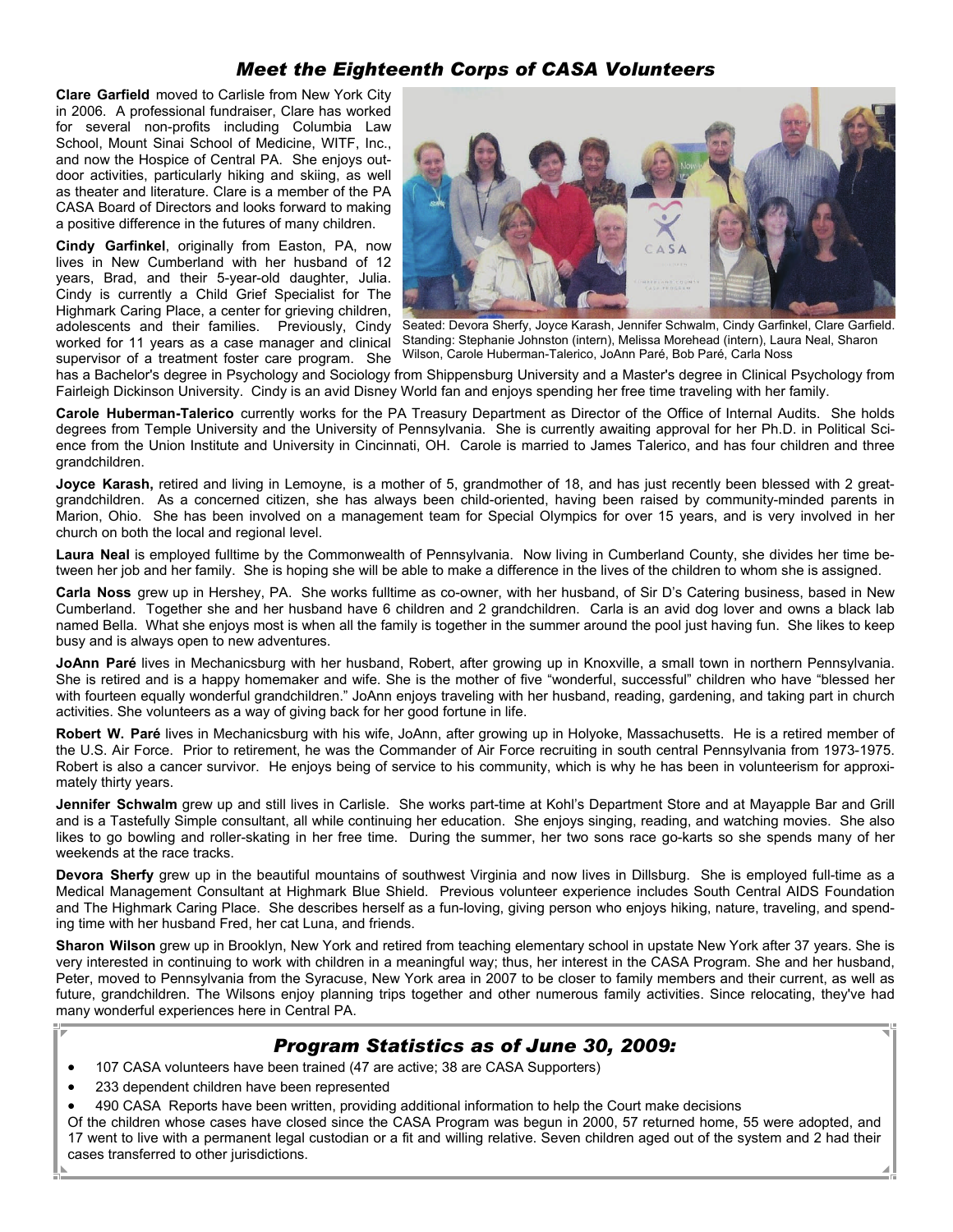### *Meet the Eighteenth Corps of CASA Volunteers*

**Clare Garfield** moved to Carlisle from New York City in 2006. A professional fundraiser, Clare has worked for several non-profits including Columbia Law School, Mount Sinai School of Medicine, WITF, Inc., and now the Hospice of Central PA. She enjoys outdoor activities, particularly hiking and skiing, as well as theater and literature. Clare is a member of the PA CASA Board of Directors and looks forward to making a positive difference in the futures of many children.

**Cindy Garfinkel**, originally from Easton, PA, now lives in New Cumberland with her husband of 12 years, Brad, and their 5-year-old daughter, Julia. Cindy is currently a Child Grief Specialist for The Highmark Caring Place, a center for grieving children, adolescents and their families. Previously, Cindy worked for 11 years as a case manager and clinical supervisor of a treatment foster care program. She



Seated: Devora Sherfy, Joyce Karash, Jennifer Schwalm, Cindy Garfinkel, Clare Garfield. Standing: Stephanie Johnston (intern), Melissa Morehead (intern), Laura Neal, Sharon Wilson, Carole Huberman-Talerico, JoAnn Paré, Bob Paré, Carla Noss

has a Bachelor's degree in Psychology and Sociology from Shippensburg University and a Master's degree in Clinical Psychology from Fairleigh Dickinson University. Cindy is an avid Disney World fan and enjoys spending her free time traveling with her family.

**Carole Huberman-Talerico** currently works for the PA Treasury Department as Director of the Office of Internal Audits. She holds degrees from Temple University and the University of Pennsylvania. She is currently awaiting approval for her Ph.D. in Political Science from the Union Institute and University in Cincinnati, OH. Carole is married to James Talerico, and has four children and three grandchildren.

**Joyce Karash,** retired and living in Lemoyne, is a mother of 5, grandmother of 18, and has just recently been blessed with 2 greatgrandchildren. As a concerned citizen, she has always been child-oriented, having been raised by community-minded parents in Marion, Ohio. She has been involved on a management team for Special Olympics for over 15 years, and is very involved in her church on both the local and regional level.

**Laura Neal** is employed fulltime by the Commonwealth of Pennsylvania. Now living in Cumberland County, she divides her time between her job and her family. She is hoping she will be able to make a difference in the lives of the children to whom she is assigned.

**Carla Noss** grew up in Hershey, PA. She works fulltime as co-owner, with her husband, of Sir D's Catering business, based in New Cumberland. Together she and her husband have 6 children and 2 grandchildren. Carla is an avid dog lover and owns a black lab named Bella. What she enjoys most is when all the family is together in the summer around the pool just having fun. She likes to keep busy and is always open to new adventures.

**JoAnn Paré** lives in Mechanicsburg with her husband, Robert, after growing up in Knoxville, a small town in northern Pennsylvania. She is retired and is a happy homemaker and wife. She is the mother of five "wonderful, successful" children who have "blessed her with fourteen equally wonderful grandchildren." JoAnn enjoys traveling with her husband, reading, gardening, and taking part in church activities. She volunteers as a way of giving back for her good fortune in life.

**Robert W. Paré** lives in Mechanicsburg with his wife, JoAnn, after growing up in Holyoke, Massachusetts. He is a retired member of the U.S. Air Force. Prior to retirement, he was the Commander of Air Force recruiting in south central Pennsylvania from 1973-1975. Robert is also a cancer survivor. He enjoys being of service to his community, which is why he has been in volunteerism for approximately thirty years.

**Jennifer Schwalm** grew up and still lives in Carlisle. She works part-time at Kohl's Department Store and at Mayapple Bar and Grill and is a Tastefully Simple consultant, all while continuing her education. She enjoys singing, reading, and watching movies. She also likes to go bowling and roller-skating in her free time. During the summer, her two sons race go-karts so she spends many of her weekends at the race tracks.

**Devora Sherfy** grew up in the beautiful mountains of southwest Virginia and now lives in Dillsburg. She is employed full-time as a Medical Management Consultant at Highmark Blue Shield. Previous volunteer experience includes South Central AIDS Foundation and The Highmark Caring Place. She describes herself as a fun-loving, giving person who enjoys hiking, nature, traveling, and spending time with her husband Fred, her cat Luna, and friends.

**Sharon Wilson** grew up in Brooklyn, New York and retired from teaching elementary school in upstate New York after 37 years. She is very interested in continuing to work with children in a meaningful way; thus, her interest in the CASA Program. She and her husband, Peter, moved to Pennsylvania from the Syracuse, New York area in 2007 to be closer to family members and their current, as well as future, grandchildren. The Wilsons enjoy planning trips together and other numerous family activities. Since relocating, they've had many wonderful experiences here in Central PA.

#### *Program Statistics as of June 30, 2009:*

- 107 CASA volunteers have been trained (47 are active; 38 are CASA Supporters)
- 233 dependent children have been represented
- 490 CASA Reports have been written, providing additional information to help the Court make decisions

Of the children whose cases have closed since the CASA Program was begun in 2000, 57 returned home, 55 were adopted, and 17 went to live with a permanent legal custodian or a fit and willing relative. Seven children aged out of the system and 2 had their cases transferred to other jurisdictions.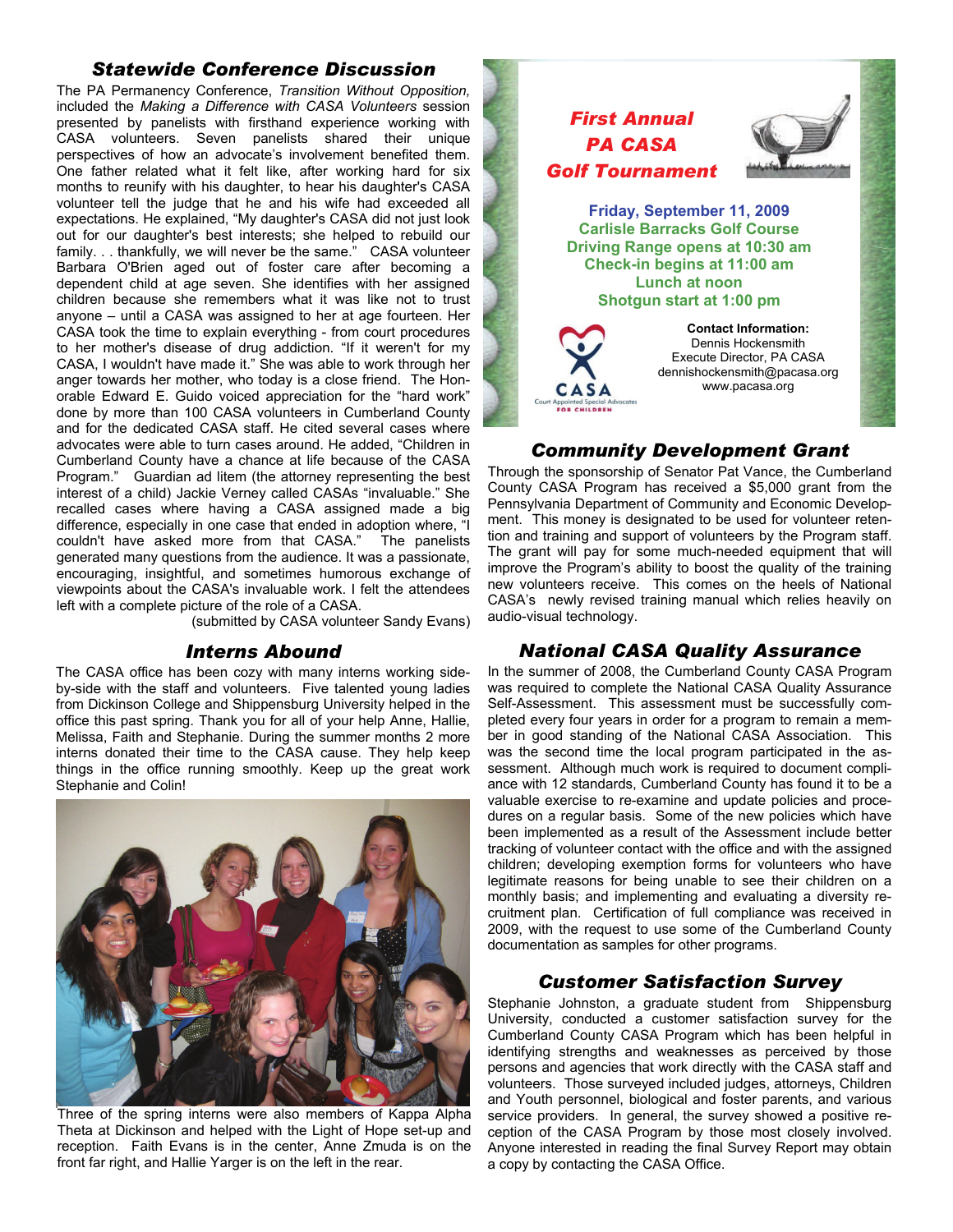#### *Statewide Conference Discussion*

The PA Permanency Conference, *Transition Without Opposition,* included the *Making a Difference with CASA Volunteers* session presented by panelists with firsthand experience working with CASA volunteers. Seven panelists shared their unique perspectives of how an advocate's involvement benefited them. One father related what it felt like, after working hard for six months to reunify with his daughter, to hear his daughter's CASA volunteer tell the judge that he and his wife had exceeded all expectations. He explained, "My daughter's CASA did not just look out for our daughter's best interests; she helped to rebuild our family. . . thankfully, we will never be the same." CASA volunteer Barbara O'Brien aged out of foster care after becoming a dependent child at age seven. She identifies with her assigned children because she remembers what it was like not to trust anyone – until a CASA was assigned to her at age fourteen. Her CASA took the time to explain everything - from court procedures to her mother's disease of drug addiction. "If it weren't for my CASA, I wouldn't have made it." She was able to work through her anger towards her mother, who today is a close friend. The Honorable Edward E. Guido voiced appreciation for the "hard work" done by more than 100 CASA volunteers in Cumberland County and for the dedicated CASA staff. He cited several cases where advocates were able to turn cases around. He added, "Children in Cumberland County have a chance at life because of the CASA Program." Guardian ad litem (the attorney representing the best interest of a child) Jackie Verney called CASAs "invaluable." She recalled cases where having a CASA assigned made a big difference, especially in one case that ended in adoption where, "I couldn't have asked more from that CASA." The panelists generated many questions from the audience. It was a passionate, encouraging, insightful, and sometimes humorous exchange of viewpoints about the CASA's invaluable work. I felt the attendees left with a complete picture of the role of a CASA.

(submitted by CASA volunteer Sandy Evans)

#### *Interns Abound*

The CASA office has been cozy with many interns working sideby-side with the staff and volunteers. Five talented young ladies from Dickinson College and Shippensburg University helped in the office this past spring. Thank you for all of your help Anne, Hallie, Melissa, Faith and Stephanie. During the summer months 2 more interns donated their time to the CASA cause. They help keep things in the office running smoothly. Keep up the great work Stephanie and Colin!



Three of the spring interns were also members of Kappa Alpha Theta at Dickinson and helped with the Light of Hope set-up and reception. Faith Evans is in the center, Anne Zmuda is on the front far right, and Hallie Yarger is on the left in the rear.



#### *Community Development Grant*

Through the sponsorship of Senator Pat Vance, the Cumberland County CASA Program has received a \$5,000 grant from the Pennsylvania Department of Community and Economic Development. This money is designated to be used for volunteer retention and training and support of volunteers by the Program staff. The grant will pay for some much-needed equipment that will improve the Program's ability to boost the quality of the training new volunteers receive. This comes on the heels of National CASA's newly revised training manual which relies heavily on audio-visual technology.

### *National CASA Quality Assurance*

In the summer of 2008, the Cumberland County CASA Program was required to complete the National CASA Quality Assurance Self-Assessment. This assessment must be successfully completed every four years in order for a program to remain a member in good standing of the National CASA Association. This was the second time the local program participated in the assessment. Although much work is required to document compliance with 12 standards, Cumberland County has found it to be a valuable exercise to re-examine and update policies and procedures on a regular basis. Some of the new policies which have been implemented as a result of the Assessment include better tracking of volunteer contact with the office and with the assigned children; developing exemption forms for volunteers who have legitimate reasons for being unable to see their children on a monthly basis; and implementing and evaluating a diversity recruitment plan. Certification of full compliance was received in 2009, with the request to use some of the Cumberland County documentation as samples for other programs.

#### *Customer Satisfaction Survey*

Stephanie Johnston, a graduate student from Shippensburg University, conducted a customer satisfaction survey for the Cumberland County CASA Program which has been helpful in identifying strengths and weaknesses as perceived by those persons and agencies that work directly with the CASA staff and volunteers. Those surveyed included judges, attorneys, Children and Youth personnel, biological and foster parents, and various service providers. In general, the survey showed a positive reception of the CASA Program by those most closely involved. Anyone interested in reading the final Survey Report may obtain a copy by contacting the CASA Office.